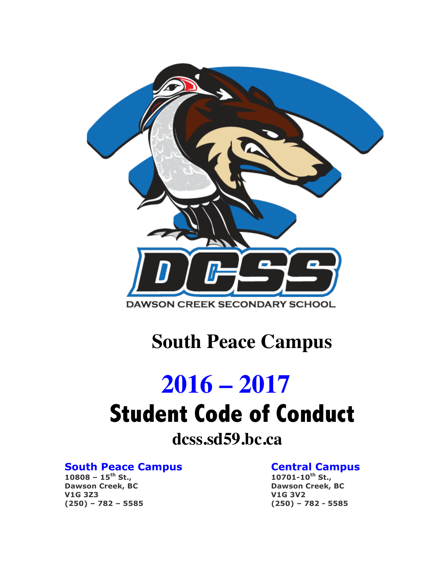

## **South Peace Campus**

# **2016 – 2017 Student Code of Conduct**

### **dcss.sd59.bc.ca**

### **South Peace Campus**<br>
10808 - 15<sup>th</sup> St.,<br>
10701-10<sup>th</sup> St.,

**10808 – 15th St., 10701-10th St., Dawson Creek, BC Dawson Creek, BC V1G 3Z3 V1G 3V2 (250) – 782 – 5585 (250) – 782 - 5585**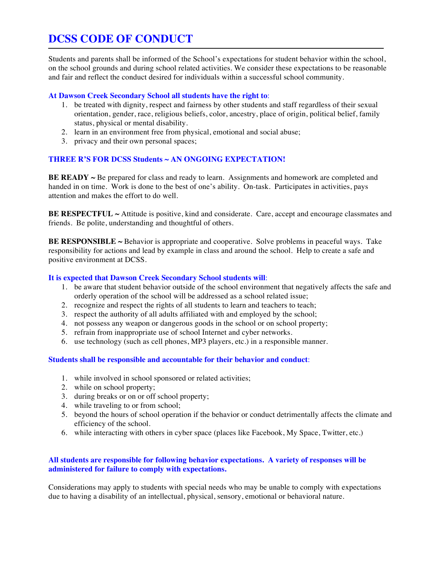### **DCSS CODE OF CONDUCT**

Students and parents shall be informed of the School's expectations for student behavior within the school, on the school grounds and during school related activities. We consider these expectations to be reasonable and fair and reflect the conduct desired for individuals within a successful school community.

#### **At Dawson Creek Secondary School all students have the right to**:

- 1. be treated with dignity, respect and fairness by other students and staff regardless of their sexual orientation, gender, race, religious beliefs, color, ancestry, place of origin, political belief, family status, physical or mental disability.
- 2. learn in an environment free from physical, emotional and social abuse;
- 3. privacy and their own personal spaces;

#### **THREE R'S FOR DCSS Students ~ AN ONGOING EXPECTATION!**

**BE READY** ~ Be prepared for class and ready to learn. Assignments and homework are completed and handed in on time. Work is done to the best of one's ability. On-task. Participates in activities, pays attention and makes the effort to do well.

BE RESPECTFUL ~ Attitude is positive, kind and considerate. Care, accept and encourage classmates and friends. Be polite, understanding and thoughtful of others.

**BE RESPONSIBLE ~** Behavior is appropriate and cooperative. Solve problems in peaceful ways. Take responsibility for actions and lead by example in class and around the school. Help to create a safe and positive environment at DCSS.

#### **It is expected that Dawson Creek Secondary School students will**:

- 1. be aware that student behavior outside of the school environment that negatively affects the safe and orderly operation of the school will be addressed as a school related issue;
- 2. recognize and respect the rights of all students to learn and teachers to teach;
- 3. respect the authority of all adults affiliated with and employed by the school;
- 4. not possess any weapon or dangerous goods in the school or on school property;
- 5. refrain from inappropriate use of school Internet and cyber networks.
- 6. use technology (such as cell phones, MP3 players, etc.) in a responsible manner.

#### **Students shall be responsible and accountable for their behavior and conduct**:

- 1. while involved in school sponsored or related activities;
- 2. while on school property;
- 3. during breaks or on or off school property;
- 4. while traveling to or from school;
- 5. beyond the hours of school operation if the behavior or conduct detrimentally affects the climate and efficiency of the school.
- 6. while interacting with others in cyber space (places like Facebook, My Space, Twitter, etc.)

#### **All students are responsible for following behavior expectations. A variety of responses will be administered for failure to comply with expectations.**

Considerations may apply to students with special needs who may be unable to comply with expectations due to having a disability of an intellectual, physical, sensory, emotional or behavioral nature.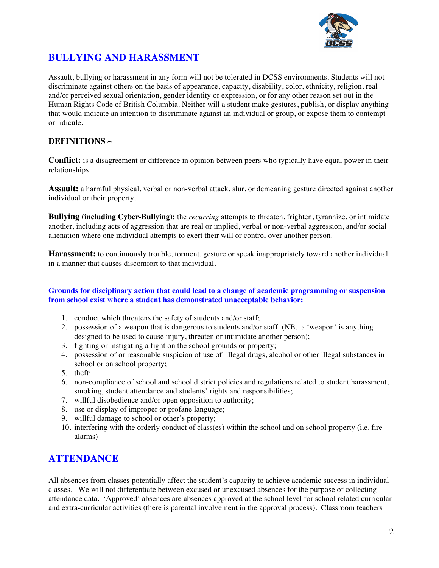

#### **BULLYING AND HARASSMENT**

Assault, bullying or harassment in any form will not be tolerated in DCSS environments. Students will not discriminate against others on the basis of appearance, capacity, disability, color, ethnicity, religion, real and/or perceived sexual orientation, gender identity or expression, or for any other reason set out in the Human Rights Code of British Columbia. Neither will a student make gestures, publish, or display anything that would indicate an intention to discriminate against an individual or group, or expose them to contempt or ridicule.

#### **DEFINITIONS ~**

**Conflict:** is a disagreement or difference in opinion between peers who typically have equal power in their relationships.

**Assault:** a harmful physical, verbal or non-verbal attack, slur, or demeaning gesture directed against another individual or their property.

**Bullying (including Cyber-Bullying):** the *recurring* attempts to threaten, frighten, tyrannize, or intimidate another, including acts of aggression that are real or implied, verbal or non-verbal aggression, and/or social alienation where one individual attempts to exert their will or control over another person.

**Harassment:** to continuously trouble, torment, gesture or speak inappropriately toward another individual in a manner that causes discomfort to that individual.

#### **Grounds for disciplinary action that could lead to a change of academic programming or suspension from school exist where a student has demonstrated unacceptable behavior:**

- 1. conduct which threatens the safety of students and/or staff;
- 2. possession of a weapon that is dangerous to students and/or staff (NB. a 'weapon' is anything designed to be used to cause injury, threaten or intimidate another person);
- 3. fighting or instigating a fight on the school grounds or property;
- 4. possession of or reasonable suspicion of use of illegal drugs, alcohol or other illegal substances in school or on school property;
- 5. theft;
- 6. non-compliance of school and school district policies and regulations related to student harassment, smoking, student attendance and students' rights and responsibilities;
- 7. willful disobedience and/or open opposition to authority;
- 8. use or display of improper or profane language;
- 9. willful damage to school or other's property;
- 10. interfering with the orderly conduct of class(es) within the school and on school property (i.e. fire alarms)

#### **ATTENDANCE**

All absences from classes potentially affect the student's capacity to achieve academic success in individual classes. We will not differentiate between excused or unexcused absences for the purpose of collecting attendance data. 'Approved' absences are absences approved at the school level for school related curricular and extra-curricular activities (there is parental involvement in the approval process). Classroom teachers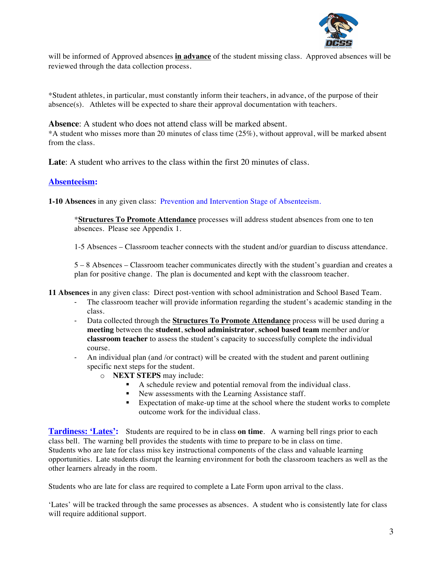

will be informed of Approved absences **in advance** of the student missing class. Approved absences will be reviewed through the data collection process.

\*Student athletes, in particular, must constantly inform their teachers, in advance, of the purpose of their absence(s). Athletes will be expected to share their approval documentation with teachers.

**Absence**: A student who does not attend class will be marked absent. \*A student who misses more than 20 minutes of class time (25%), without approval, will be marked absent from the class.

**Late**: A student who arrives to the class within the first 20 minutes of class.

#### **Absenteeism:**

**1-10 Absences** in any given class: Prevention and Intervention Stage of Absenteeism.

\***Structures To Promote Attendance** processes will address student absences from one to ten absences. Please see Appendix 1.

1-5 Absences – Classroom teacher connects with the student and/or guardian to discuss attendance.

5 – 8 Absences – Classroom teacher communicates directly with the student's guardian and creates a plan for positive change. The plan is documented and kept with the classroom teacher.

**11 Absences** in any given class: Direct post-vention with school administration and School Based Team.

- The classroom teacher will provide information regarding the student's academic standing in the class.
- Data collected through the **Structures To Promote Attendance** process will be used during a **meeting** between the **student**, **school administrator**, **school based team** member and/or **classroom teacher** to assess the student's capacity to successfully complete the individual course.
- An individual plan (and /or contract) will be created with the student and parent outlining specific next steps for the student.
	- o **NEXT STEPS** may include:
		- ! A schedule review and potential removal from the individual class.
		- ! New assessments with the Learning Assistance staff.
		- ! Expectation of make-up time at the school where the student works to complete outcome work for the individual class.

**Tardiness: 'Lates':** Students are required to be in class **on time**. A warning bell rings prior to each class bell. The warning bell provides the students with time to prepare to be in class on time. Students who are late for class miss key instructional components of the class and valuable learning opportunities. Late students disrupt the learning environment for both the classroom teachers as well as the other learners already in the room.

Students who are late for class are required to complete a Late Form upon arrival to the class.

'Lates' will be tracked through the same processes as absences. A student who is consistently late for class will require additional support.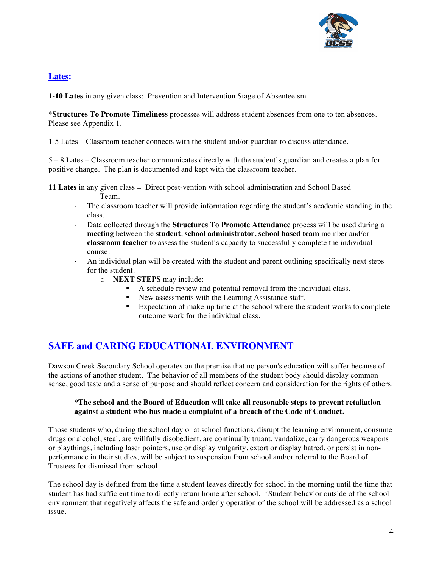

#### **Lates:**

**1-10 Lates** in any given class: Prevention and Intervention Stage of Absenteeism

\***Structures To Promote Timeliness** processes will address student absences from one to ten absences. Please see Appendix 1.

1-5 Lates – Classroom teacher connects with the student and/or guardian to discuss attendance.

5 – 8 Lates – Classroom teacher communicates directly with the student's guardian and creates a plan for positive change. The plan is documented and kept with the classroom teacher.

**11 Lates** in any given class = Direct post-vention with school administration and School Based Team.

- The classroom teacher will provide information regarding the student's academic standing in the class.
- Data collected through the **Structures To Promote Attendance** process will be used during a **meeting** between the **student**, **school administrator**, **school based team** member and/or **classroom teacher** to assess the student's capacity to successfully complete the individual course.
- An individual plan will be created with the student and parent outlining specifically next steps for the student.
	- o **NEXT STEPS** may include:
		- ! A schedule review and potential removal from the individual class.
		- New assessments with the Learning Assistance staff.
		- ! Expectation of make-up time at the school where the student works to complete outcome work for the individual class.

#### **SAFE and CARING EDUCATIONAL ENVIRONMENT**

Dawson Creek Secondary School operates on the premise that no person's education will suffer because of the actions of another student. The behavior of all members of the student body should display common sense, good taste and a sense of purpose and should reflect concern and consideration for the rights of others.

#### **\*The school and the Board of Education will take all reasonable steps to prevent retaliation against a student who has made a complaint of a breach of the Code of Conduct.**

Those students who, during the school day or at school functions, disrupt the learning environment, consume drugs or alcohol, steal, are willfully disobedient, are continually truant, vandalize, carry dangerous weapons or playthings, including laser pointers, use or display vulgarity, extort or display hatred, or persist in nonperformance in their studies, will be subject to suspension from school and/or referral to the Board of Trustees for dismissal from school.

The school day is defined from the time a student leaves directly for school in the morning until the time that student has had sufficient time to directly return home after school. \*Student behavior outside of the school environment that negatively affects the safe and orderly operation of the school will be addressed as a school issue.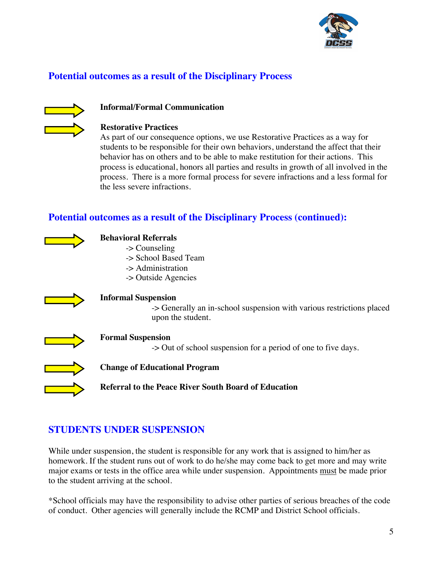

#### **Potential outcomes as a result of the Disciplinary Process**



#### **Informal/Formal Communication**

#### **Restorative Practices**

As part of our consequence options, we use Restorative Practices as a way for students to be responsible for their own behaviors, understand the affect that their behavior has on others and to be able to make restitution for their actions. This process is educational, honors all parties and results in growth of all involved in the process. There is a more formal process for severe infractions and a less formal for the less severe infractions.

#### **Potential outcomes as a result of the Disciplinary Process (continued):**



#### **Behavioral Referrals**

- -> Counseling
- -> School Based Team
- -> Administration
- -> Outside Agencies



#### **Informal Suspension**

-> Generally an in-school suspension with various restrictions placed upon the student.



#### **Formal Suspension**

-> Out of school suspension for a period of one to five days.



#### **Change of Educational Program**

**Referral to the Peace River South Board of Education**

#### **STUDENTS UNDER SUSPENSION**

While under suspension, the student is responsible for any work that is assigned to him/her as homework. If the student runs out of work to do he/she may come back to get more and may write major exams or tests in the office area while under suspension. Appointments must be made prior to the student arriving at the school.

\*School officials may have the responsibility to advise other parties of serious breaches of the code of conduct. Other agencies will generally include the RCMP and District School officials.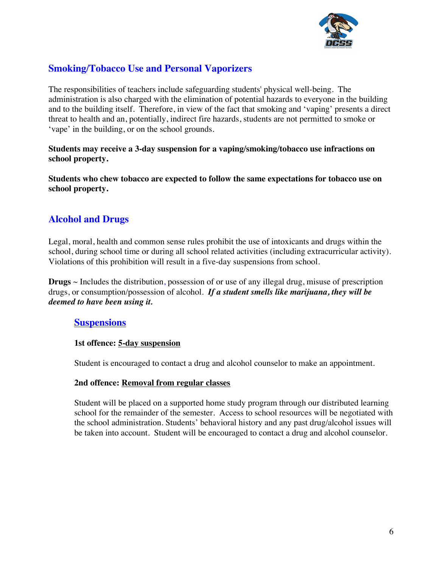

#### **Smoking/Tobacco Use and Personal Vaporizers**

The responsibilities of teachers include safeguarding students' physical well-being. The administration is also charged with the elimination of potential hazards to everyone in the building and to the building itself. Therefore, in view of the fact that smoking and 'vaping' presents a direct threat to health and an, potentially, indirect fire hazards, students are not permitted to smoke or 'vape' in the building, or on the school grounds.

**Students may receive a 3-day suspension for a vaping/smoking/tobacco use infractions on school property.**

**Students who chew tobacco are expected to follow the same expectations for tobacco use on school property.**

#### **Alcohol and Drugs**

Legal, moral, health and common sense rules prohibit the use of intoxicants and drugs within the school, during school time or during all school related activities (including extracurricular activity). Violations of this prohibition will result in a five-day suspensions from school.

**Drugs** ~ Includes the distribution, possession of or use of any illegal drug, misuse of prescription drugs, or consumption/possession of alcohol. *If a student smells like marijuana, they will be deemed to have been using it.* 

#### **Suspensions**

#### **1st offence: 5-day suspension**

Student is encouraged to contact a drug and alcohol counselor to make an appointment.

#### **2nd offence: Removal from regular classes**

Student will be placed on a supported home study program through our distributed learning school for the remainder of the semester. Access to school resources will be negotiated with the school administration. Students' behavioral history and any past drug/alcohol issues will be taken into account. Student will be encouraged to contact a drug and alcohol counselor.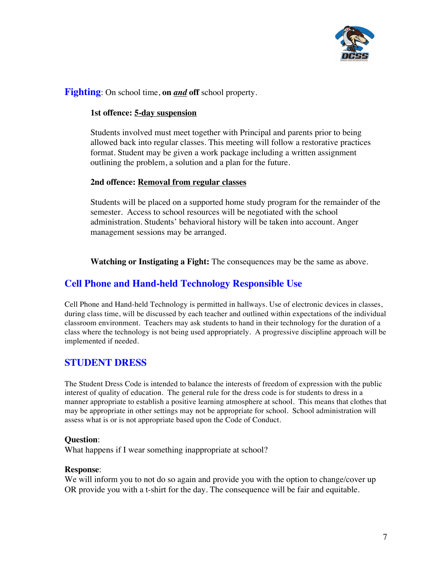

#### **Fighting**: On school time, **on** *and* **off** school property.

#### **1st offence: 5-day suspension**

Students involved must meet together with Principal and parents prior to being allowed back into regular classes. This meeting will follow a restorative practices format. Student may be given a work package including a written assignment outlining the problem, a solution and a plan for the future.

#### **2nd offence: Removal from regular classes**

Students will be placed on a supported home study program for the remainder of the semester. Access to school resources will be negotiated with the school administration. Students' behavioral history will be taken into account. Anger management sessions may be arranged.

**Watching or Instigating a Fight:** The consequences may be the same as above.

#### **Cell Phone and Hand-held Technology Responsible Use**

Cell Phone and Hand-held Technology is permitted in hallways. Use of electronic devices in classes, during class time, will be discussed by each teacher and outlined within expectations of the individual classroom environment. Teachers may ask students to hand in their technology for the duration of a class where the technology is not being used appropriately. A progressive discipline approach will be implemented if needed.

#### **STUDENT DRESS**

The Student Dress Code is intended to balance the interests of freedom of expression with the public interest of quality of education. The general rule for the dress code is for students to dress in a manner appropriate to establish a positive learning atmosphere at school. This means that clothes that may be appropriate in other settings may not be appropriate for school. School administration will assess what is or is not appropriate based upon the Code of Conduct.

#### **Question**:

What happens if I wear something inappropriate at school?

#### **Response**:

We will inform you to not do so again and provide you with the option to change/cover up OR provide you with a t-shirt for the day. The consequence will be fair and equitable.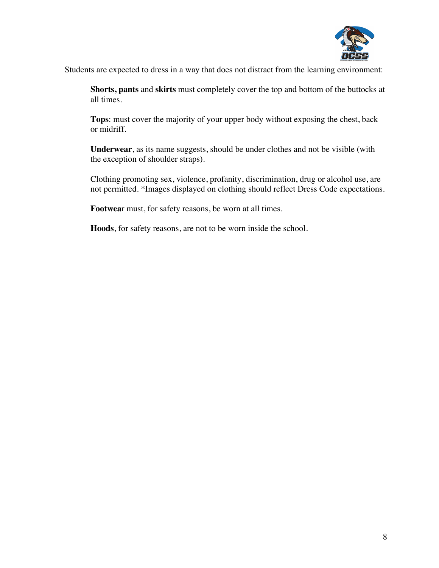

Students are expected to dress in a way that does not distract from the learning environment:

**Shorts, pants** and **skirts** must completely cover the top and bottom of the buttocks at all times.

**Tops**: must cover the majority of your upper body without exposing the chest, back or midriff.

**Underwear**, as its name suggests, should be under clothes and not be visible (with the exception of shoulder straps).

Clothing promoting sex, violence, profanity, discrimination, drug or alcohol use, are not permitted. \*Images displayed on clothing should reflect Dress Code expectations.

**Footwea**r must, for safety reasons, be worn at all times.

**Hoods**, for safety reasons, are not to be worn inside the school.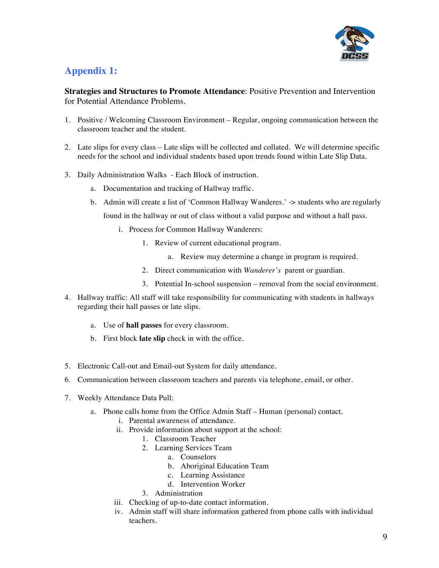

#### **Appendix 1:**

**Strategies and Structures to Promote Attendance**: Positive Prevention and Intervention for Potential Attendance Problems.

- 1. Positive / Welcoming Classroom Environment Regular, ongoing communication between the classroom teacher and the student.
- 2. Late slips for every class Late slips will be collected and collated. We will determine specific needs for the school and individual students based upon trends found within Late Slip Data.
- 3. Daily Administration Walks Each Block of instruction.
	- a. Documentation and tracking of Hallway traffic.
	- b. Admin will create a list of 'Common Hallway Wanderes.' -> students who are regularly found in the hallway or out of class without a valid purpose and without a hall pass.
		- i. Process for Common Hallway Wanderers:
			- 1. Review of current educational program.
				- a. Review may determine a change in program is required.
			- 2. Direct communication with *Wanderer's* parent or guardian.
			- 3. Potential In-school suspension removal from the social environment.
- 4. Hallway traffic: All staff will take responsibility for communicating with students in hallways regarding their hall passes or late slips.
	- a. Use of **hall passes** for every classroom.
	- b. First block **late slip** check in with the office.
- 5. Electronic Call-out and Email-out System for daily attendance.
- 6. Communication between classroom teachers and parents via telephone, email, or other.
- 7. Weekly Attendance Data Pull:
	- a. Phone calls home from the Office Admin Staff Human (personal) contact.
		- i. Parental awareness of attendance.
		- ii. Provide information about support at the school:
			- 1. Classroom Teacher
			- 2. Learning Services Team
				- a. Counselors
					- b. Aboriginal Education Team
					- c. Learning Assistance
					- d. Intervention Worker
			- 3. Administration
		- iii. Checking of up-to-date contact information.
		- iv. Admin staff will share information gathered from phone calls with individual teachers.